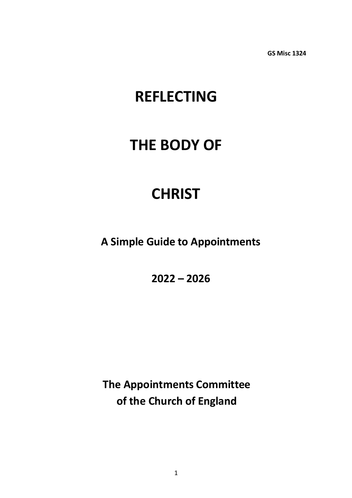**GS Misc 1324**

# **REFLECTING**

# **THE BODY OF**

# **CHRIST**

**A Simple Guide to Appointments** 

**2022 – 2026**

**The Appointments Committee of the Church of England**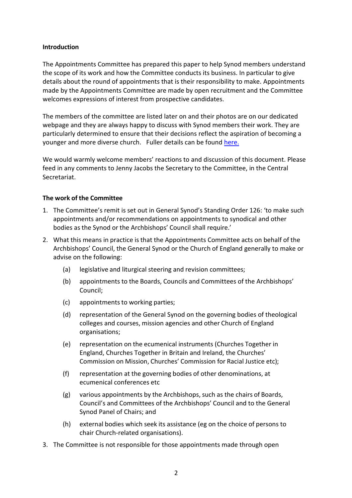#### **Introduction**

The Appointments Committee has prepared this paper to help Synod members understand the scope of its work and how the Committee conducts its business. In particular to give details about the round of appointments that is their responsibility to make. Appointments made by the Appointments Committee are made by open recruitment and the Committee welcomes expressions of interest from prospective candidates.

The members of the committee are listed later on and their photos are on our dedicated webpage and they are always happy to discuss with Synod members their work. They are particularly determined to ensure that their decisions reflect the aspiration of becoming a younger and more diverse church. Fuller details can be found [here.](https://www.churchofengland.org/about/leadership-and-governance/general-synod/elections-and-appointments-committees)

We would warmly welcome members' reactions to and discussion of this document. Please feed in any comments to Jenny Jacobs the Secretary to the Committee, in the Central Secretariat.

### **The work of the Committee**

- 1. The Committee's remit is set out in General Synod's Standing Order 126: 'to make such appointments and/or recommendations on appointments to synodical and other bodies as the Synod or the Archbishops' Council shall require.'
- 2. What this means in practice is that the Appointments Committee acts on behalf of the Archbishops' Council, the General Synod or the Church of England generally to make or advise on the following:
	- (a) legislative and liturgical steering and revision committees;
	- (b) appointments to the Boards, Councils and Committees of the Archbishops' Council;
	- (c) appointments to working parties;
	- (d) representation of the General Synod on the governing bodies of theological colleges and courses, mission agencies and other Church of England organisations;
	- (e) representation on the ecumenical instruments (Churches Together in England, Churches Together in Britain and Ireland, the Churches' Commission on Mission, Churches' Commission for Racial Justice etc);
	- (f) representation at the governing bodies of other denominations, at ecumenical conferences etc
	- $(g)$  various appointments by the Archbishops, such as the chairs of Boards, Council's and Committees of the Archbishops' Council and to the General Synod Panel of Chairs; and
	- (h) external bodies which seek its assistance (eg on the choice of persons to chair Church-related organisations).
- 3. The Committee is not responsible for those appointments made through open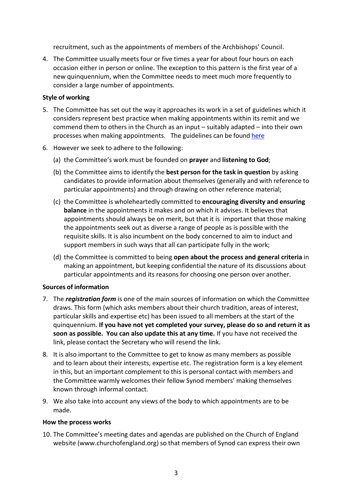recruitment, such as the appointments of members of the Archbishops' Council.

4. The Committee usually meets four or five times a year for about four hours on each occasion either in person or online. The exception to this pattern is the first year of a new quinquennium, when the Committee needs to meet much more frequently to consider a large number of appointments.

### **Style of working**

- 5. The Committee has set out the way it approaches its work in a set of guidelines which it considers represent best practice when making appointments within its remit and we commend them to others in the Church as an input – suitably adapted – into their own processes when making appointments. The guidelines can be found [here](https://view.officeapps.live.com/op/view.aspx?src=https%3A%2F%2Fwww.churchofengland.org%2Fsites%2Fdefault%2Ffiles%2F2022-06%2FAppointments%2520Committe%2520recommended%2520guidelines.docx&wdOrigin=BROWSELINK)
- 6. However we seek to adhere to the following:
	- (a) the Committee's work must be founded on **prayer** and **listening to God**;
	- (b) the Committee aims to identify the **best person for the task in question** by asking candidates to provide information about themselves (generally and with reference to particular appointments) and through drawing on other reference material;
	- (c) the Committee is wholeheartedly committed to **encouraging diversity and ensuring balance** in the appointments it makes and on which it advises. It believes that appointments should always be on merit, but that it is important that those making the appointments seek out as diverse a range of people as is possible with the requisite skills. It is also incumbent on the body concerned to aim to induct and support members in such ways that all can participate fully in the work;
	- (d) the Committee is committed to being **open about the process and general criteria** in making an appointment, but keeping confidential the nature of its discussions about particular appointments and its reasons for choosing one person over another.

#### **Sources of information**

- 7. The *registration form* is one of the main sources of information on which the Committee draws. This form (which asks members about their church tradition, areas of interest, particular skills and expertise etc) has been issued to all members at the start of the quinquennium. **If you have not yet completed your survey, please do so and return it as soon as possible. You can also update this at any time.** If you have not received the link, please contact the Secretary who will resend the link.
- 8. It is also important to the Committee to get to know as many members as possible and to learn about their interests, expertise etc. The registration form is a key element in this, but an important complement to this is personal contact with members and the Committee warmly welcomes their fellow Synod members' making themselves known through informal contact.
- 9. We also take into account any views of the body to which appointments are to be made.

#### **How the process works**

10. The Committee's meeting dates and agendas are published on the Church of England website [\(www.churchofengland.org\)](http://www.churchofengland.org/) so that members of Synod can express their own